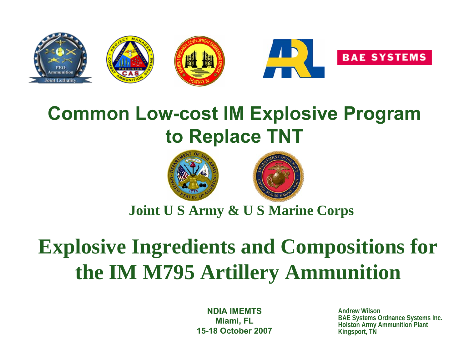

# **Common Low-cost IM Explosive Program to Replace TNT**





### **Joint U S Army & U S Marine Corps**

# **Explosive Ingredients and Compositions for the IM M795 Artillery Ammunition**

**NDIA IMEMTSMiami, FL 15-18 October 2007**

**Andrew Wilson BAE Systems Ordnance Systems Inc. Holston Army Ammunition Plant Kingsport, TN**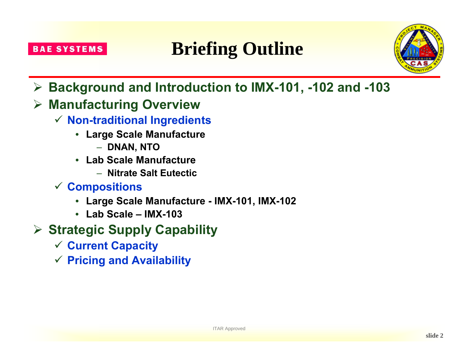# **Briefing Outline**



- ¾ **Background and Introduction to IMX-101, -102 and -103**
- ¾ **Manufacturing Overview**
	- 9 **Non-traditional Ingredients**
		- **Large Scale Manufacture**
			- **DNAN, NTO**
		- **Lab Scale Manufacture** 
			- **Nitrate Salt Eutectic**
	- 9 **Compositions**
		- **Large Scale Manufacture - IMX-101, IMX-102**
		- **Lab Scale – IMX-103**
- ¾ **Strategic Supply Capability**
	- 9 **Current Capacity**
	- 9 **Pricing and Availability**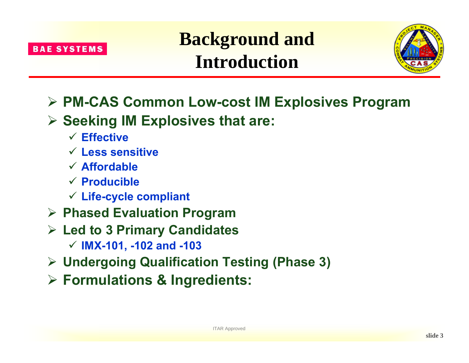

**Background and Introduction**



- ¾ **PM-CAS Common Low-cost IM Explosives Program**
- ¾ **Seeking IM Explosives that are:**
	- 9 **Effective**
	- 9 **Less sensitive**
	- 9 **Affordable**
	- 9 **Producible**
	- 9 **Life-cycle compliant**
- ¾ **Phased Evaluation Program**
- ¾ **Led to 3 Primary Candidates**
	- 9 **IMX-101, -102 and -103**
- ¾ **Undergoing Qualification Testing (Phase 3)**
- ¾ **Formulations & Ingredients:**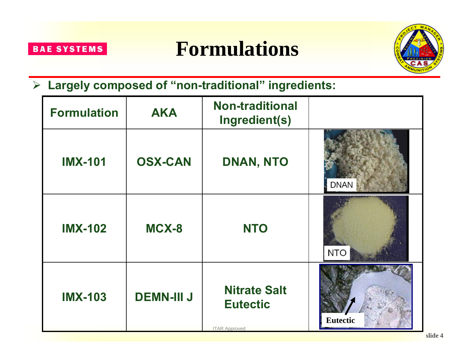





### ¾ **Largely composed of "non-traditional" ingredients:**

| <b>Formulation</b> | <b>AKA</b>        | <b>Non-traditional</b><br>Ingredient(s)                        |                 |
|--------------------|-------------------|----------------------------------------------------------------|-----------------|
| <b>IMX-101</b>     | <b>OSX-CAN</b>    | DNAN, NTO                                                      | <b>DNAN</b>     |
| <b>IMX-102</b>     | MCX-8             | <b>NTO</b>                                                     | <b>NTO</b>      |
| <b>IMX-103</b>     | <b>DEMN-III J</b> | <b>Nitrate Salt</b><br><b>Eutectic</b><br><b>ITAR Approved</b> | <b>Eutectic</b> |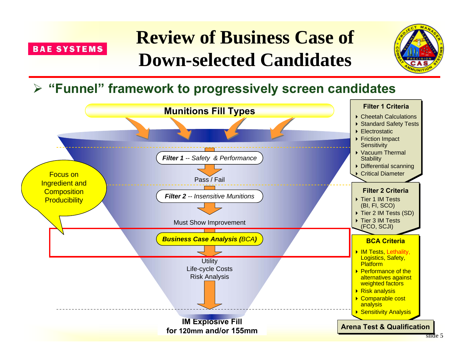

# **Review of Business Case of Down-selected Candidates**



### ¾ **"Funnel" framework to progressively screen candidates**

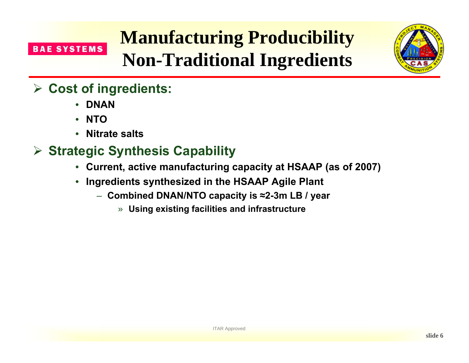# **Manufacturing Producibility Non-Traditional Ingredients**



## ¾ **Cost of ingredients:**

- **DNAN**
- **NTO**
- **Nitrate salts**

# ¾ **Strategic Synthesis Capability**

- **Current, active manufacturing capacity at HSAAP (as of 2007)**
- **Ingredients synthesized in the HSAAP Agile Plant**
	- **Combined DNAN/NTO capacity is ≈2-3m LB / year**
		- » **Using existing facilities and infrastructure**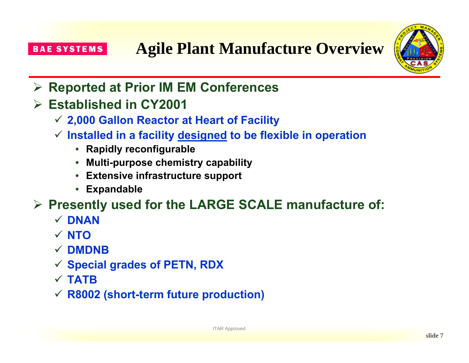

- ¾ **Reported at Prior IM EM Conferences**
- ¾ **Established in CY2001**
	- 9 **2,000 Gallon Reactor at Heart of Facility**
	- 9 **Installed in a facility designed to be flexible in operation**
		- **Rapidly reconfigurable**
		- **Multi-purpose chemistry capability**
		- **Extensive infrastructure support**
		- **Expandable**
- ¾ **Presently used for the LARGE SCALE manufacture of:**
	- 9 **DNAN**
	- 9 **NTO**
	- 9 **DMDNB**
	- 9 **Special grades of PETN, RDX**
	- $\times$  **TATB**
	- 9 **R8002 (short-term future production)**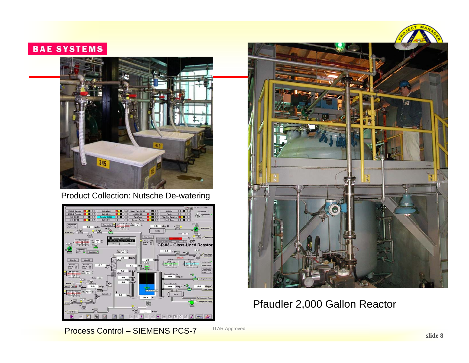

#### Product Collection: Nutsche De-watering





#### Pfaudler 2,000 Gallon Reactor

Process Control – SIEMENS PCS-7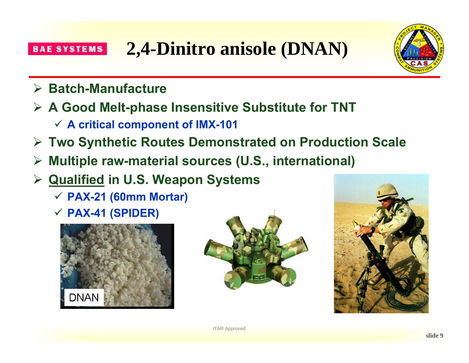



- ¾ **Batch-Manufacture**
- ¾ **A Good Melt-phase Insensitive Substitute for TNT** 
	- 9 **A critical component of IMX-101**
- ¾ **Two Synthetic Routes Demonstrated on Production Scale**
- ¾**Multiple raw-material sources (U.S., international)**
- ¾ **Qualified in U.S. Weapon Systems**
	- 9 **PAX-21 (60mm Mortar)**
	- 9 **PAX-41 (SPIDER)**





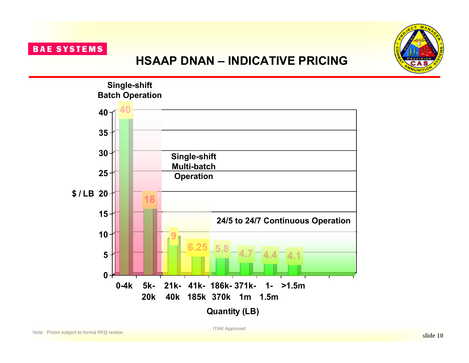

### **HSAAP DNAN – INDICATIVE PRICING**



ITAR Approved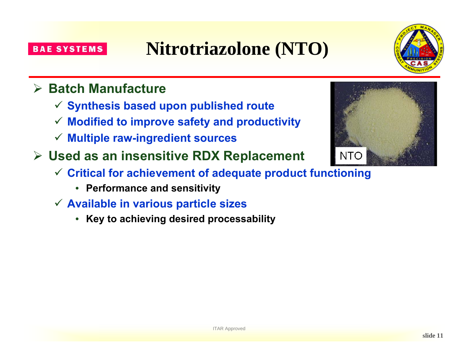### ¾ **Batch Manufacture**

- 9 **Synthesis based upon published route**
- 9 **Modified to improve safety and productivity**
- 9 **Multiple raw-ingredient sources**
- ¾ **Used as an insensitive RDX Replacement**
	- 9 **Critical for achievement of adequate product functioning**

**Nitrotriazolone (NTO)**

- **Performance and sensitivity**
- 9 **Available in various particle sizes**
	- **Key to achieving desired processability**

**slide 11**



**NTO** 

#### **BAE SYSTEMS**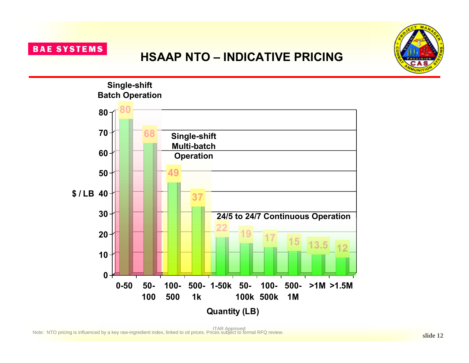### **HSAAP NTO – INDICATIVE PRICING**



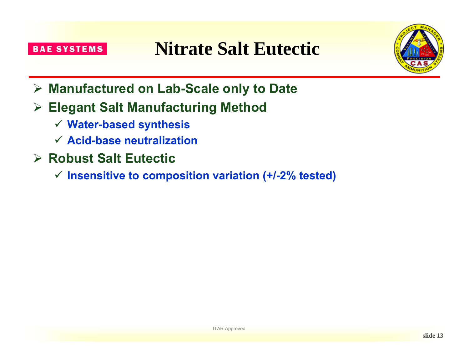**Nitrate Salt Eutectic**



- ¾ **Manufactured on Lab-Scale only to Date**
- ¾ **Elegant Salt Manufacturing Method**
	- 9 **Water-based synthesis**
	- 9 **Acid-base neutralization**
- ¾ **Robust Salt Eutectic**
	- 9 **Insensitive to composition variation (+/-2% tested)**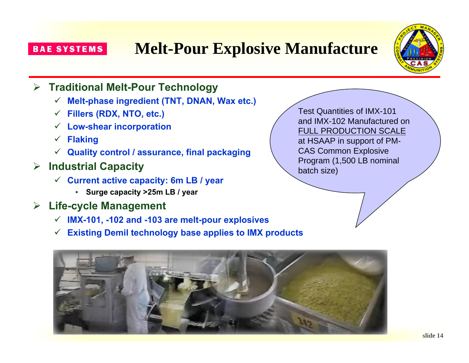# **Melt-Pour Explosive Manufacture**



### ¾ **Traditional Melt-Pour Technology**

- $\checkmark$ **Melt-phase ingredient (TNT, DNAN, Wax etc.)**
- $\checkmark$ **Fillers (RDX, NTO, etc.)**
- $\checkmark$ **Low-shear incorporation**
- $\checkmark$ **Flaking**
- $\checkmark$ **Quality control / assurance, final packaging**
- ¾ **Industrial Capacity**
	- 9 **Current active capacity: 6m LB / year**
		- **Surge capacity >25m LB / year**
- ¾ **Life-cycle Management**
	- 9 **IMX-101, -102 and -103 are melt-pour explosives**
	- 9 **Existing Demil technology base applies to IMX products**



Test Quantities of IMX-101 and IMX-102 Manufactured on FULL PRODUCTION SCALE at HSAAP in support of PM-CAS Common Explosive Program (1,500 LB nominal batch size)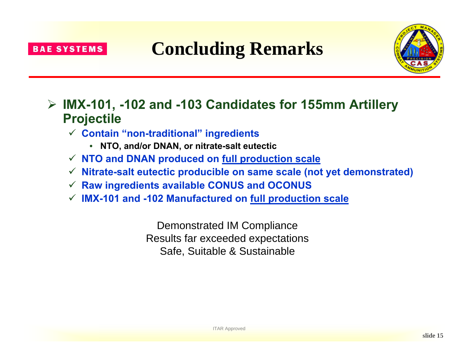

# **Concluding Remarks**



### ¾ **IMX-101, -102 and -103 Candidates for 155mm Artillery Projectile**

- 9 **Contain "non-traditional" ingredients**
	- **NTO, and/or DNAN, or nitrate-salt eutectic**
- 9 **NTO and DNAN produced on full production scale**
- 9 **Nitrate-salt eutectic producible on same scale (not yet demonstrated)**
- $\checkmark$ **Raw ingredients available CONUS and OCONUS**
- 9 **IMX-101 and -102 Manufactured on full production scale**

Demonstrated IM Compliance Results far exceeded expectations Safe, Suitable & Sustainable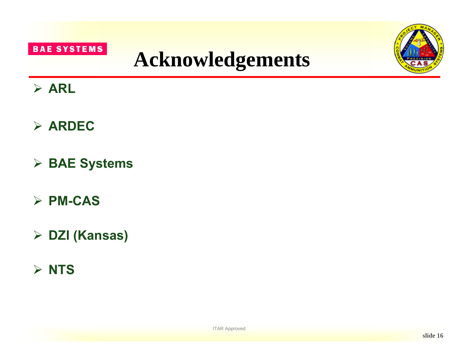





# ¾ **ARL**

- ¾ **ARDEC**
- ¾ **BAE Systems**
- ¾ **PM-CAS**
- ¾ **DZI (Kansas)**
- ¾ **NTS**